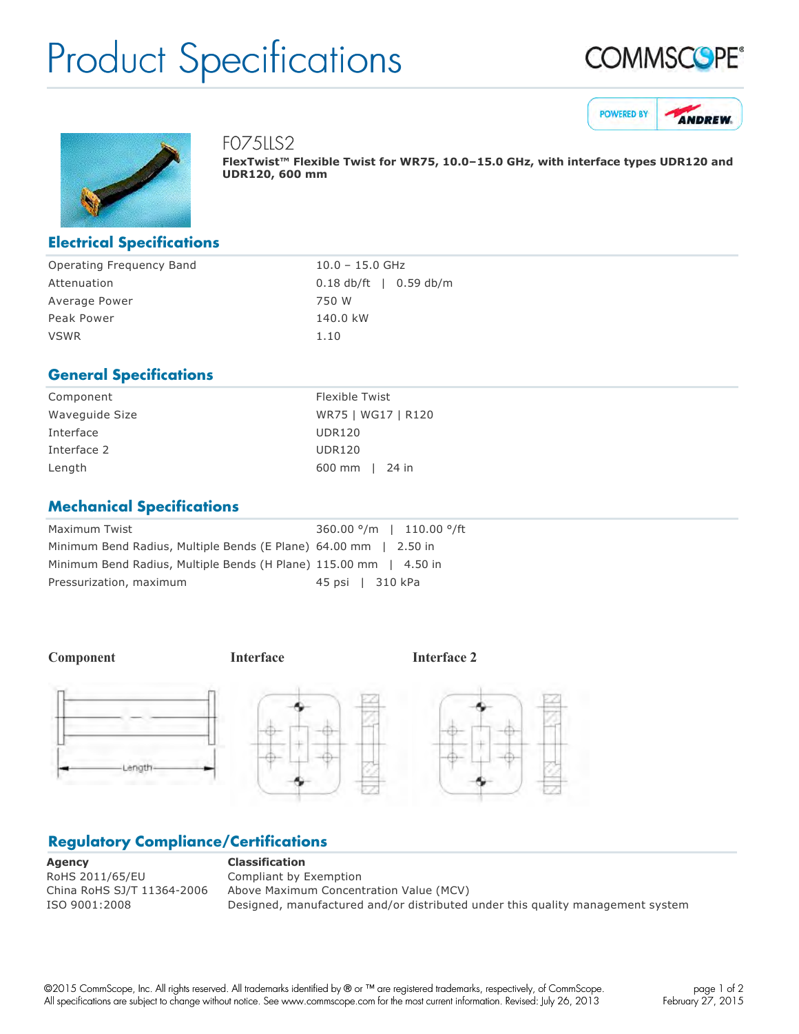## Product Specifications







FO75LLS2

**FlexTwist™ Flexible Twist for WR75, 10.0–15.0 GHz, with interface types UDR120 and UDR120, 600 mm**

#### **Electrical Specifications**

| Operating Frequency Band | $10.0 - 15.0$ GHz                |
|--------------------------|----------------------------------|
| Attenuation              | $0.18 \text{ db/ft}$   0.59 db/m |
| Average Power            | 750 W                            |
| Peak Power               | 140.0 kW                         |
| <b>VSWR</b>              | 1.10                             |

### **General Specifications**

| Component      | Flexible Twist     |
|----------------|--------------------|
| Waveguide Size | WR75   WG17   R120 |
| Interface      | <b>UDR120</b>      |
| Interface 2    | <b>UDR120</b>      |
| Length         | 600 mm   24 in     |
|                |                    |

### **Mechanical Specifications**

| Maximum Twist                                                     | $360.00$ $\degree$ /m   110.00 $\degree$ /ft |
|-------------------------------------------------------------------|----------------------------------------------|
| Minimum Bend Radius, Multiple Bends (E Plane) 64.00 mm   2.50 in  |                                              |
| Minimum Bend Radius, Multiple Bends (H Plane) 115.00 mm   4.50 in |                                              |
| Pressurization, maximum                                           | 45 psi   310 kPa                             |

**Component Interface Interface 2**



## **Regulatory Compliance/Certifications**

**Agency Classification** RoHS 2011/65/EU Compliant by Exemption

China RoHS SJ/T 11364-2006 Above Maximum Concentration Value (MCV) ISO 9001:2008 Designed, manufactured and/or distributed under this quality management system